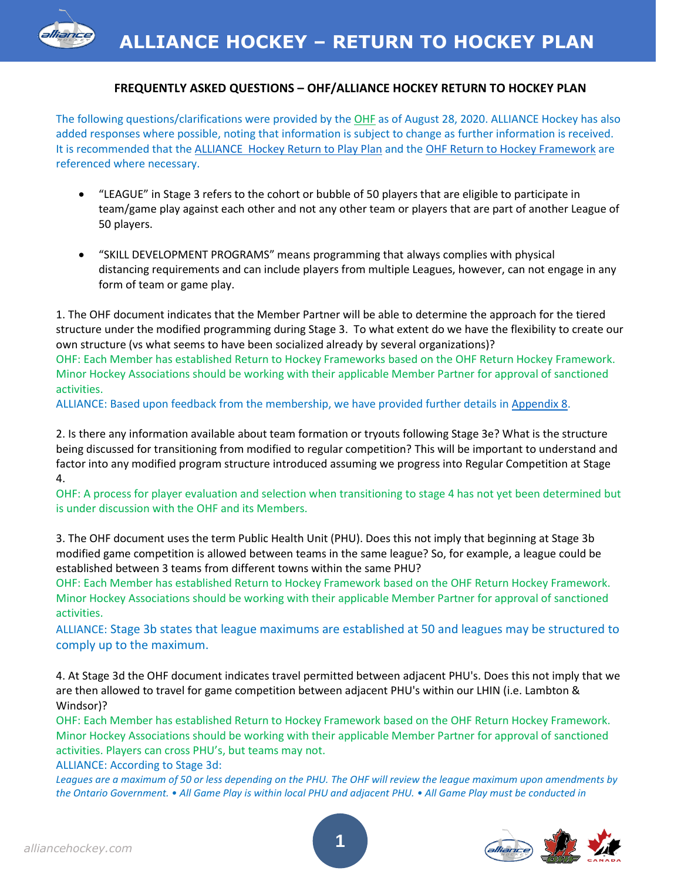# **FREQUENTLY ASKED QUESTIONS – OHF/ALLIANCE HOCKEY RETURN TO HOCKEY PLAN**

The following questions/clarifications were provided by the OHF as of August 28, 2020. ALLIANCE Hockey has also added responses where possible, noting that information is subject to change as further information is received. It is recommended that the [ALLIANCE Hockey Return to Play Plan](https://alliancehockey.com/Public/Documents/RTH/ALLIANCE_Hockey_RTH_Plan_V2.0.pdf) and the [OHF Return to Hockey Framework](https://www.ohf.on.ca/media/tukpds4s/ohf-return-to-hockey_0731.pdf) are referenced where necessary.

- "LEAGUE" in Stage 3 refers to the cohort or bubble of 50 players that are eligible to participate in team/game play against each other and not any other team or players that are part of another League of 50 players.
- "SKILL DEVELOPMENT PROGRAMS" means programming that always complies with physical distancing requirements and can include players from multiple Leagues, however, can not engage in any form of team or game play.

1. The OHF document indicates that the Member Partner will be able to determine the approach for the tiered structure under the modified programming during Stage 3. To what extent do we have the flexibility to create our own structure (vs what seems to have been socialized already by several organizations)? OHF: Each Member has established Return to Hockey Frameworks based on the OHF Return Hockey Framework. Minor Hockey Associations should be working with their applicable Member Partner for approval of sanctioned activities.

ALLIANCE: Based upon feedback from the membership, we have provided further details in [Appendix 8.](https://alliancehockey.com/Public/Documents/RTH/Appendix_8_Registration_Rosters_and_Next_Stepsb.pdf)

2. Is there any information available about team formation or tryouts following Stage 3e? What is the structure being discussed for transitioning from modified to regular competition? This will be important to understand and factor into any modified program structure introduced assuming we progress into Regular Competition at Stage 4.

OHF: A process for player evaluation and selection when transitioning to stage 4 has not yet been determined but is under discussion with the OHF and its Members.

3. The OHF document uses the term Public Health Unit (PHU). Does this not imply that beginning at Stage 3b modified game competition is allowed between teams in the same league? So, for example, a league could be established between 3 teams from different towns within the same PHU?

OHF: Each Member has established Return to Hockey Framework based on the OHF Return Hockey Framework. Minor Hockey Associations should be working with their applicable Member Partner for approval of sanctioned activities.

ALLIANCE: Stage 3b states that league maximums are established at 50 and leagues may be structured to comply up to the maximum.

4. At Stage 3d the OHF document indicates travel permitted between adjacent PHU's. Does this not imply that we are then allowed to travel for game competition between adjacent PHU's within our LHIN (i.e. Lambton & Windsor)?

OHF: Each Member has established Return to Hockey Framework based on the OHF Return Hockey Framework. Minor Hockey Associations should be working with their applicable Member Partner for approval of sanctioned activities. Players can cross PHU's, but teams may not.

ALLIANCE: According to Stage 3d:

*Leagues are a maximum of 50 or less depending on the PHU. The OHF will review the league maximum upon amendments by the Ontario Government. • All Game Play is within local PHU and adjacent PHU. • All Game Play must be conducted in* 



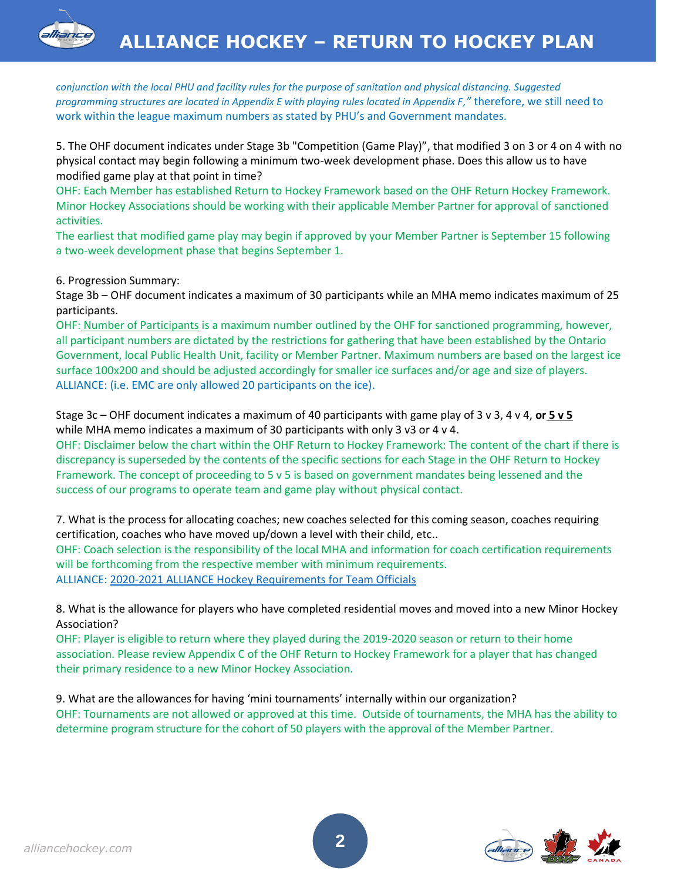*conjunction with the local PHU and facility rules for the purpose of sanitation and physical distancing. Suggested programming structures are located in Appendix E with playing rules located in Appendix F,"* therefore, we still need to work within the league maximum numbers as stated by PHU's and Government mandates.

5. The OHF document indicates under Stage 3b "Competition (Game Play)", that modified 3 on 3 or 4 on 4 with no physical contact may begin following a minimum two-week development phase. Does this allow us to have modified game play at that point in time?

OHF: Each Member has established Return to Hockey Framework based on the OHF Return Hockey Framework. Minor Hockey Associations should be working with their applicable Member Partner for approval of sanctioned activities.

The earliest that modified game play may begin if approved by your Member Partner is September 15 following a two-week development phase that begins September 1.

6. Progression Summary:

Stage 3b – OHF document indicates a maximum of 30 participants while an MHA memo indicates maximum of 25 participants.

OHF: Number of Participants is a maximum number outlined by the OHF for sanctioned programming, however, all participant numbers are dictated by the restrictions for gathering that have been established by the Ontario Government, local Public Health Unit, facility or Member Partner. Maximum numbers are based on the largest ice surface 100x200 and should be adjusted accordingly for smaller ice surfaces and/or age and size of players. ALLIANCE: (i.e. EMC are only allowed 20 participants on the ice).

Stage 3c – OHF document indicates a maximum of 40 participants with game play of 3 v 3, 4 v 4, **or 5 v 5**  while MHA memo indicates a maximum of 30 participants with only 3 v3 or 4 v 4.

OHF: Disclaimer below the chart within the OHF Return to Hockey Framework: The content of the chart if there is discrepancy is superseded by the contents of the specific sections for each Stage in the OHF Return to Hockey Framework. The concept of proceeding to 5 v 5 is based on government mandates being lessened and the success of our programs to operate team and game play without physical contact.

7. What is the process for allocating coaches; new coaches selected for this coming season, coaches requiring certification, coaches who have moved up/down a level with their child, etc.. OHF: Coach selection is the responsibility of the local MHA and information for coach certification requirements will be forthcoming from the respective member with minimum requirements.

ALLIANCE: [2020-2021 ALLIANCE Hockey Requirements for Team Officials](https://alliancehockey.com/Articles/5477/2020-2021_ALLIANCE_Hockey_Requirements_for_Team_Officials/)

8. What is the allowance for players who have completed residential moves and moved into a new Minor Hockey Association?

OHF: Player is eligible to return where they played during the 2019-2020 season or return to their home association. Please review Appendix C of the OHF Return to Hockey Framework for a player that has changed their primary residence to a new Minor Hockey Association.

9. What are the allowances for having 'mini tournaments' internally within our organization? OHF: Tournaments are not allowed or approved at this time. Outside of tournaments, the MHA has the ability to determine program structure for the cohort of 50 players with the approval of the Member Partner.

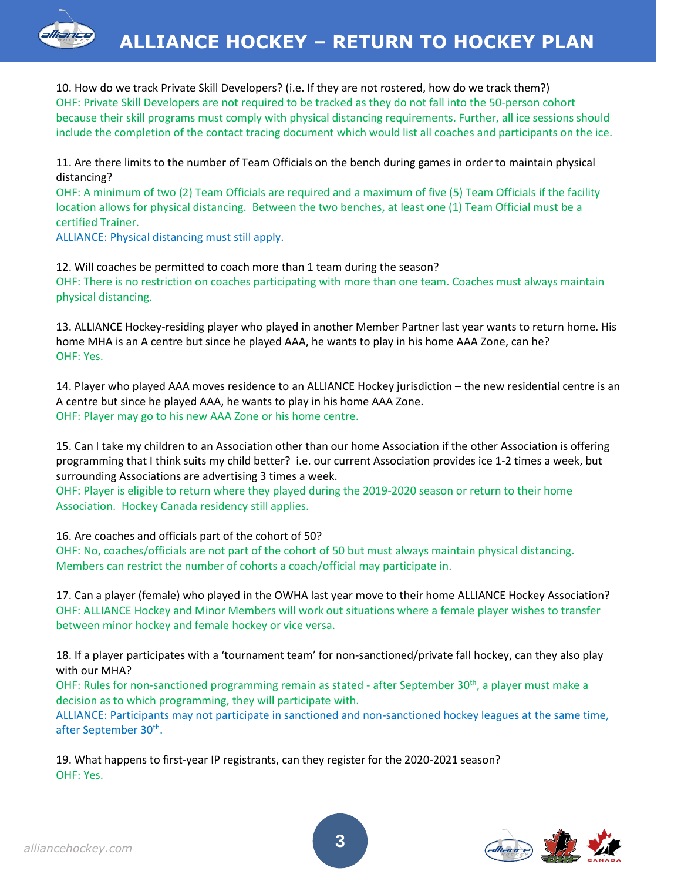

10. How do we track Private Skill Developers? (i.e. If they are not rostered, how do we track them?) OHF: Private Skill Developers are not required to be tracked as they do not fall into the 50-person cohort because their skill programs must comply with physical distancing requirements. Further, all ice sessions should include the completion of the contact tracing document which would list all coaches and participants on the ice.

11. Are there limits to the number of Team Officials on the bench during games in order to maintain physical distancing?

OHF: A minimum of two (2) Team Officials are required and a maximum of five (5) Team Officials if the facility location allows for physical distancing. Between the two benches, at least one (1) Team Official must be a certified Trainer.

ALLIANCE: Physical distancing must still apply.

12. Will coaches be permitted to coach more than 1 team during the season? OHF: There is no restriction on coaches participating with more than one team. Coaches must always maintain physical distancing.

13. ALLIANCE Hockey-residing player who played in another Member Partner last year wants to return home. His home MHA is an A centre but since he played AAA, he wants to play in his home AAA Zone, can he? OHF: Yes.

14. Player who played AAA moves residence to an ALLIANCE Hockey jurisdiction – the new residential centre is an A centre but since he played AAA, he wants to play in his home AAA Zone. OHF: Player may go to his new AAA Zone or his home centre.

15. Can I take my children to an Association other than our home Association if the other Association is offering programming that I think suits my child better? i.e. our current Association provides ice 1-2 times a week, but surrounding Associations are advertising 3 times a week.

OHF: Player is eligible to return where they played during the 2019-2020 season or return to their home Association. Hockey Canada residency still applies.

16. Are coaches and officials part of the cohort of 50?

OHF: No, coaches/officials are not part of the cohort of 50 but must always maintain physical distancing. Members can restrict the number of cohorts a coach/official may participate in.

17. Can a player (female) who played in the OWHA last year move to their home ALLIANCE Hockey Association? OHF: ALLIANCE Hockey and Minor Members will work out situations where a female player wishes to transfer between minor hockey and female hockey or vice versa.

18. If a player participates with a 'tournament team' for non-sanctioned/private fall hockey, can they also play with our MHA?

OHF: Rules for non-sanctioned programming remain as stated - after September 30<sup>th</sup>, a player must make a decision as to which programming, they will participate with.

ALLIANCE: Participants may not participate in sanctioned and non-sanctioned hockey leagues at the same time, after September 30<sup>th</sup>.

19. What happens to first-year IP registrants, can they register for the 2020-2021 season? OHF: Yes.



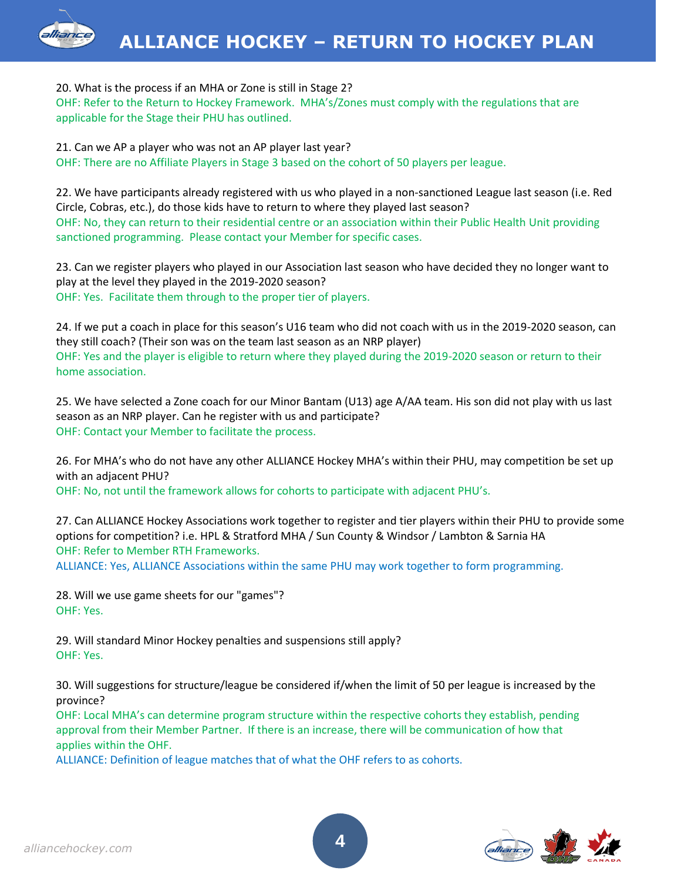## 20. What is the process if an MHA or Zone is still in Stage 2?

OHF: Refer to the Return to Hockey Framework. MHA's/Zones must comply with the regulations that are applicable for the Stage their PHU has outlined.

21. Can we AP a player who was not an AP player last year? OHF: There are no Affiliate Players in Stage 3 based on the cohort of 50 players per league.

22. We have participants already registered with us who played in a non-sanctioned League last season (i.e. Red Circle, Cobras, etc.), do those kids have to return to where they played last season? OHF: No, they can return to their residential centre or an association within their Public Health Unit providing sanctioned programming. Please contact your Member for specific cases.

23. Can we register players who played in our Association last season who have decided they no longer want to play at the level they played in the 2019-2020 season? OHF: Yes. Facilitate them through to the proper tier of players.

24. If we put a coach in place for this season's U16 team who did not coach with us in the 2019-2020 season, can they still coach? (Their son was on the team last season as an NRP player) OHF: Yes and the player is eligible to return where they played during the 2019-2020 season or return to their home association.

25. We have selected a Zone coach for our Minor Bantam (U13) age A/AA team. His son did not play with us last season as an NRP player. Can he register with us and participate? OHF: Contact your Member to facilitate the process.

26. For MHA's who do not have any other ALLIANCE Hockey MHA's within their PHU, may competition be set up with an adjacent PHU? OHF: No, not until the framework allows for cohorts to participate with adjacent PHU's.

27. Can ALLIANCE Hockey Associations work together to register and tier players within their PHU to provide some options for competition? i.e. HPL & Stratford MHA / Sun County & Windsor / Lambton & Sarnia HA OHF: Refer to Member RTH Frameworks.

ALLIANCE: Yes, ALLIANCE Associations within the same PHU may work together to form programming.

28. Will we use game sheets for our "games"? OHF: Yes.

29. Will standard Minor Hockey penalties and suspensions still apply? OHF: Yes.

30. Will suggestions for structure/league be considered if/when the limit of 50 per league is increased by the province?

OHF: Local MHA's can determine program structure within the respective cohorts they establish, pending approval from their Member Partner. If there is an increase, there will be communication of how that applies within the OHF.

ALLIANCE: Definition of league matches that of what the OHF refers to as cohorts.

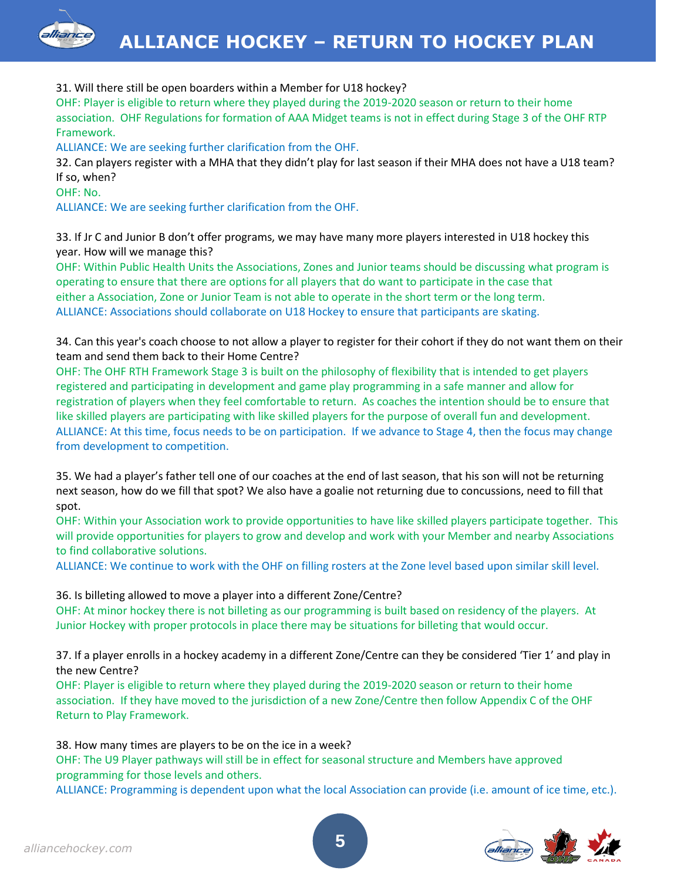

## 31. Will there still be open boarders within a Member for U18 hockey?

OHF: Player is eligible to return where they played during the 2019-2020 season or return to their home association. OHF Regulations for formation of AAA Midget teams is not in effect during Stage 3 of the OHF RTP Framework.

ALLIANCE: We are seeking further clarification from the OHF.

32. Can players register with a MHA that they didn't play for last season if their MHA does not have a U18 team? If so, when?

OHF: No.

ALLIANCE: We are seeking further clarification from the OHF.

33. If Jr C and Junior B don't offer programs, we may have many more players interested in U18 hockey this year. How will we manage this?

OHF: Within Public Health Units the Associations, Zones and Junior teams should be discussing what program is operating to ensure that there are options for all players that do want to participate in the case that either a Association, Zone or Junior Team is not able to operate in the short term or the long term. ALLIANCE: Associations should collaborate on U18 Hockey to ensure that participants are skating.

34. Can this year's coach choose to not allow a player to register for their cohort if they do not want them on their team and send them back to their Home Centre?

OHF: The OHF RTH Framework Stage 3 is built on the philosophy of flexibility that is intended to get players registered and participating in development and game play programming in a safe manner and allow for registration of players when they feel comfortable to return. As coaches the intention should be to ensure that like skilled players are participating with like skilled players for the purpose of overall fun and development. ALLIANCE: At this time, focus needs to be on participation. If we advance to Stage 4, then the focus may change from development to competition.

35. We had a player's father tell one of our coaches at the end of last season, that his son will not be returning next season, how do we fill that spot? We also have a goalie not returning due to concussions, need to fill that spot.

OHF: Within your Association work to provide opportunities to have like skilled players participate together. This will provide opportunities for players to grow and develop and work with your Member and nearby Associations to find collaborative solutions.

ALLIANCE: We continue to work with the OHF on filling rosters at the Zone level based upon similar skill level.

#### 36. Is billeting allowed to move a player into a different Zone/Centre?

OHF: At minor hockey there is not billeting as our programming is built based on residency of the players. At Junior Hockey with proper protocols in place there may be situations for billeting that would occur.

37. If a player enrolls in a hockey academy in a different Zone/Centre can they be considered 'Tier 1' and play in the new Centre?

OHF: Player is eligible to return where they played during the 2019-2020 season or return to their home association. If they have moved to the jurisdiction of a new Zone/Centre then follow Appendix C of the OHF Return to Play Framework.

38. How many times are players to be on the ice in a week?

OHF: The U9 Player pathways will still be in effect for seasonal structure and Members have approved programming for those levels and others.

ALLIANCE: Programming is dependent upon what the local Association can provide (i.e. amount of ice time, etc.).